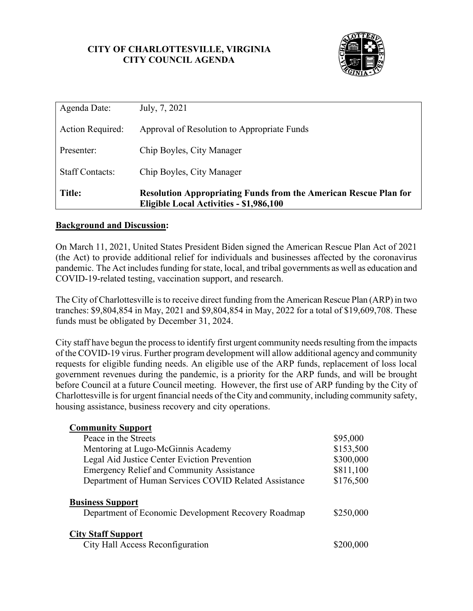# **CITY OF CHARLOTTESVILLE, VIRGINIA CITY COUNCIL AGENDA**



| Agenda Date:           | July, 7, 2021                                                                                                      |
|------------------------|--------------------------------------------------------------------------------------------------------------------|
| Action Required:       | Approval of Resolution to Appropriate Funds                                                                        |
| Presenter:             | Chip Boyles, City Manager                                                                                          |
| <b>Staff Contacts:</b> | Chip Boyles, City Manager                                                                                          |
| <b>Title:</b>          | <b>Resolution Appropriating Funds from the American Rescue Plan for</b><br>Eligible Local Activities - \$1,986,100 |

## **Background and Discussion:**

On March 11, 2021, United States President Biden signed the American Rescue Plan Act of 2021 (the Act) to provide additional relief for individuals and businesses affected by the coronavirus pandemic. The Act includes funding for state, local, and tribal governments as well as education and COVID-19-related testing, vaccination support, and research.

The City of Charlottesville is to receive direct funding from the American Rescue Plan (ARP) in two tranches: \$9,804,854 in May, 2021 and \$9,804,854 in May, 2022 for a total of \$19,609,708. These funds must be obligated by December 31, 2024.

City staff have begun the process to identify first urgent community needs resulting from the impacts of the COVID-19 virus. Further program development will allow additional agency and community requests for eligible funding needs. An eligible use of the ARP funds, replacement of loss local government revenues during the pandemic, is a priority for the ARP funds, and will be brought before Council at a future Council meeting. However, the first use of ARP funding by the City of Charlottesville is for urgent financial needs of the City and community, including community safety, housing assistance, business recovery and city operations.

| <b>Community Support</b>                              |           |
|-------------------------------------------------------|-----------|
| Peace in the Streets                                  | \$95,000  |
| Mentoring at Lugo-McGinnis Academy                    | \$153,500 |
| Legal Aid Justice Center Eviction Prevention          | \$300,000 |
| <b>Emergency Relief and Community Assistance</b>      | \$811,100 |
| Department of Human Services COVID Related Assistance | \$176,500 |
| <b>Business Support</b>                               |           |
| Department of Economic Development Recovery Roadmap   | \$250,000 |
| <b>City Staff Support</b>                             |           |
| City Hall Access Reconfiguration                      |           |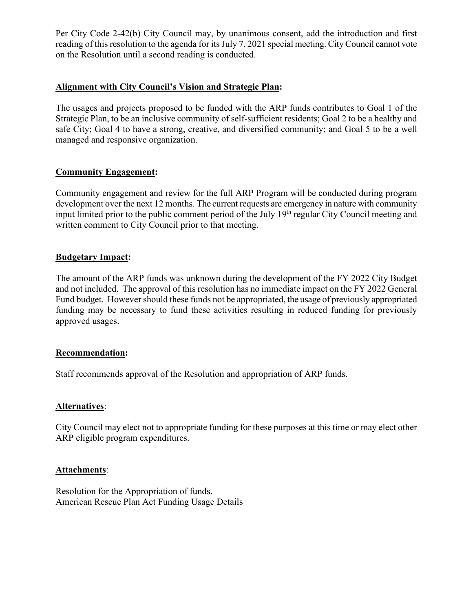Per City Code 2-42(b) City Council may, by unanimous consent, add the introduction and first reading of this resolution to the agenda for its July 7, 2021 special meeting. City Council cannot vote on the Resolution until a second reading is conducted.

## **Alignment with City Council's Vision and Strategic Plan:**

The usages and projects proposed to be funded with the ARP funds contributes to Goal 1 of the Strategic Plan, to be an inclusive community of self-sufficient residents; Goal 2 to be a healthy and safe City; Goal 4 to have a strong, creative, and diversified community; and Goal 5 to be a well managed and responsive organization.

## **Community Engagement:**

Community engagement and review for the full ARP Program will be conducted during program development over the next 12 months. The current requests are emergency in nature with community input limited prior to the public comment period of the July 19<sup>th</sup> regular City Council meeting and written comment to City Council prior to that meeting.

## **Budgetary Impact:**

The amount of the ARP funds was unknown during the development of the FY 2022 City Budget and not included. The approval of this resolution has no immediate impact on the FY 2022 General Fund budget. However should these funds not be appropriated, the usage of previously appropriated funding may be necessary to fund these activities resulting in reduced funding for previously approved usages.

#### **Recommendation:**

Staff recommends approval of the Resolution and appropriation of ARP funds.

#### **Alternatives**:

City Council may elect not to appropriate funding for these purposes at this time or may elect other ARP eligible program expenditures.

#### **Attachments**:

Resolution for the Appropriation of funds. American Rescue Plan Act Funding Usage Details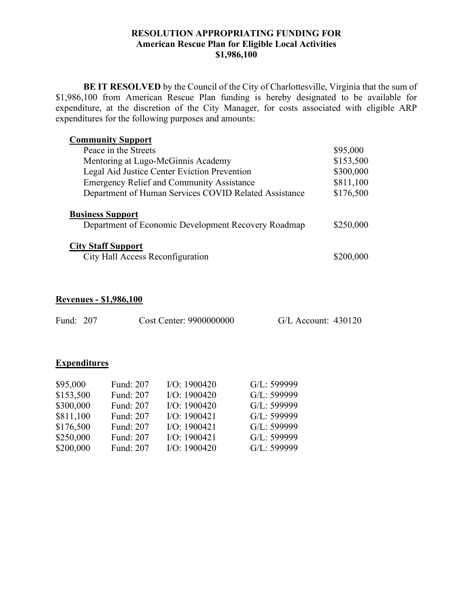#### **RESOLUTION APPROPRIATING FUNDING FOR American Rescue Plan for Eligible Local Activities \$1,986,100**

**BE IT RESOLVED** by the Council of the City of Charlottesville, Virginia that the sum of \$1,986,100 from American Rescue Plan funding is hereby designated to be available for expenditure, at the discretion of the City Manager, for costs associated with eligible ARP expenditures for the following purposes and amounts:

| <b>Community Support</b>                                                       |           |
|--------------------------------------------------------------------------------|-----------|
| Peace in the Streets                                                           | \$95,000  |
| Mentoring at Lugo-McGinnis Academy                                             | \$153,500 |
| Legal Aid Justice Center Eviction Prevention                                   | \$300,000 |
| <b>Emergency Relief and Community Assistance</b>                               | \$811,100 |
| Department of Human Services COVID Related Assistance                          | \$176,500 |
| <b>Business Support</b><br>Department of Economic Development Recovery Roadmap | \$250,000 |
| <b>City Staff Support</b><br>City Hall Access Reconfiguration                  | \$200,000 |

# **Revenues - \$1,986,100**

| Fund: 207 | Cost Center: 9900000000 | $G/L$ Account: 430120 |  |
|-----------|-------------------------|-----------------------|--|
|           |                         |                       |  |

## **Expenditures**

| \$95,000  | Fund: 207 | IO: 1900420  | G/L: 599999 |
|-----------|-----------|--------------|-------------|
| \$153,500 | Fund: 207 | IO: 1900420  | G/L: 599999 |
| \$300,000 | Fund: 207 | IO: 1900420  | G/L: 599999 |
| \$811,100 | Fund: 207 | I/O: 1900421 | G/L: 599999 |
| \$176,500 | Fund: 207 | IO: 1900421  | G/L: 599999 |
| \$250,000 | Fund: 207 | I/O: 1900421 | G/L: 599999 |
| \$200,000 | Fund: 207 | IO: 1900420  | G/L: 599999 |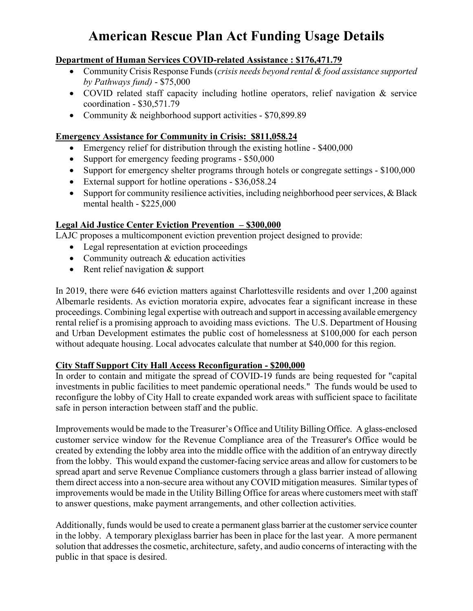# **American Rescue Plan Act Funding Usage Details**

# **Department of Human Services COVID-related Assistance : \$176,471.79**

- Community Crisis Response Funds (*crisis needs beyond rental & food assistance supported by Pathways fund)* - \$75,000
- COVID related staff capacity including hotline operators, relief navigation & service coordination - \$30,571.79
- Community & neighborhood support activities \$70,899.89

# **Emergency Assistance for Community in Crisis: \$811,058.24**

- Emergency relief for distribution through the existing hotline \$400,000
- Support for emergency feeding programs \$50,000
- Support for emergency shelter programs through hotels or congregate settings \$100,000
- External support for hotline operations \$36,058.24
- Support for community resilience activities, including neighborhood peer services, & Black mental health - \$225,000

# **Legal Aid Justice Center Eviction Prevention – \$300,000**

LAJC proposes a multicomponent eviction prevention project designed to provide:

- Legal representation at eviction proceedings
- Community outreach & education activities
- Rent relief navigation & support

In 2019, there were 646 eviction matters against Charlottesville residents and over 1,200 against Albemarle residents. As eviction moratoria expire, advocates fear a significant increase in these proceedings. Combining legal expertise with outreach and support in accessing available emergency rental relief is a promising approach to avoiding mass evictions. The U.S. Department of Housing and Urban Development estimates the public cost of homelessness at \$100,000 for each person without adequate housing. Local advocates calculate that number at \$40,000 for this region.

# **City Staff Support City Hall Access Reconfiguration - \$200,000**

In order to contain and mitigate the spread of COVID-19 funds are being requested for "capital investments in public facilities to meet pandemic operational needs." The funds would be used to reconfigure the lobby of City Hall to create expanded work areas with sufficient space to facilitate safe in person interaction between staff and the public.

Improvements would be made to the Treasurer's Office and Utility Billing Office. A glass-enclosed customer service window for the Revenue Compliance area of the Treasurer's Office would be created by extending the lobby area into the middle office with the addition of an entryway directly from the lobby. This would expand the customer-facing service areas and allow for customers to be spread apart and serve Revenue Compliance customers through a glass barrier instead of allowing them direct access into a non-secure area without any COVID mitigation measures. Similar types of improvements would be made in the Utility Billing Office for areas where customers meet with staff to answer questions, make payment arrangements, and other collection activities.

Additionally, funds would be used to create a permanent glass barrier at the customer service counter in the lobby. A temporary plexiglass barrier has been in place for the last year. A more permanent solution that addresses the cosmetic, architecture, safety, and audio concerns of interacting with the public in that space is desired.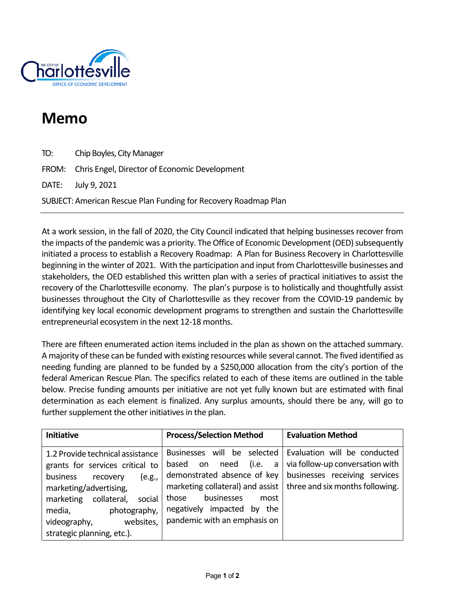

# **Memo**

TO: Chip Boyles, City Manager FROM: Chris Engel, Director of Economic Development DATE: July 9, 2021 SUBJECT: American Rescue Plan Funding for Recovery Roadmap Plan

At a work session, in the fall of 2020, the City Council indicated that helping businesses recover from the impacts of the pandemic was a priority. The Office of Economic Development (OED) subsequently initiated a process to establish a Recovery Roadmap: A Plan for Business Recovery in Charlottesville beginning in the winter of 2021. With the participation and input from Charlottesville businesses and stakeholders, the OED established this written plan with a series of practical initiatives to assist the recovery of the Charlottesville economy. The plan's purpose is to holistically and thoughtfully assist businesses throughout the City of Charlottesville as they recover from the COVID-19 pandemic by identifying key local economic development programs to strengthen and sustain the Charlottesville entrepreneurial ecosystem in the next 12-18 months.

There are fifteen enumerated action items included in the plan as shown on the attached summary. A majority of these can be funded with existing resources while several cannot. The fived identified as needing funding are planned to be funded by a \$250,000 allocation from the city's portion of the federal American Rescue Plan. The specifics related to each of these items are outlined in the table below. Precise funding amounts per initiative are not yet fully known but are estimated with final determination as each element is finalized. Any surplus amounts, should there be any, will go to further supplement the other initiatives in the plan.

| <b>Initiative</b>                                                                                                                                                                                                                                          | <b>Process/Selection Method</b>                                                                                                                                                                                                        | <b>Evaluation Method</b>                                                                                                            |
|------------------------------------------------------------------------------------------------------------------------------------------------------------------------------------------------------------------------------------------------------------|----------------------------------------------------------------------------------------------------------------------------------------------------------------------------------------------------------------------------------------|-------------------------------------------------------------------------------------------------------------------------------------|
| 1.2 Provide technical assistance<br>grants for services critical to<br>business<br>(e.g.,<br>recovery<br>marketing/advertising,<br>collateral,<br>marketing<br>social<br>media,<br>photography,<br>websites,<br>videography,<br>strategic planning, etc.). | Businesses will be selected<br>need<br>(i.e.<br>based<br>on<br>a<br>demonstrated absence of key<br>marketing collateral) and assist<br>businesses<br>those<br>most<br>negatively impacted<br>by<br>the<br>pandemic with an emphasis on | Evaluation will be conducted<br>via follow-up conversation with<br>businesses receiving services<br>three and six months following. |